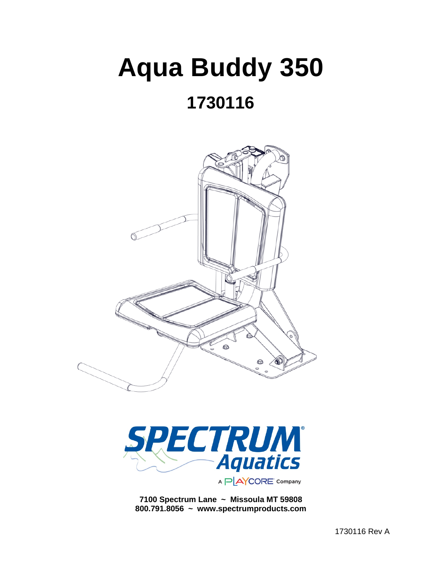# **Aqua Buddy 350**

# **1730116**





**7100 Spectrum Lane ~ Missoula MT 59808 800.791.8056 ~ www.spectrumproducts.com**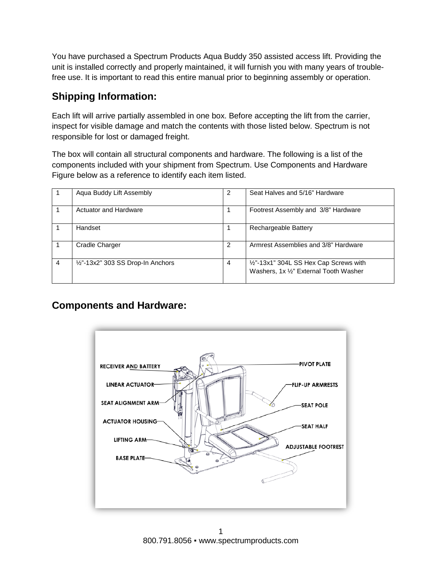You have purchased a Spectrum Products Aqua Buddy 350 assisted access lift. Providing the unit is installed correctly and properly maintained, it will furnish you with many years of troublefree use. It is important to read this entire manual prior to beginning assembly or operation.

# **Shipping Information:**

Each lift will arrive partially assembled in one box. Before accepting the lift from the carrier, inspect for visible damage and match the contents with those listed below. Spectrum is not responsible for lost or damaged freight.

The box will contain all structural components and hardware. The following is a list of the components included with your shipment from Spectrum. Use Components and Hardware Figure below as a reference to identify each item listed.

|   | Aqua Buddy Lift Assembly          | 2 | Seat Halves and 5/16" Hardware                                                   |  |  |
|---|-----------------------------------|---|----------------------------------------------------------------------------------|--|--|
|   | <b>Actuator and Hardware</b>      |   | Footrest Assembly and 3/8" Hardware                                              |  |  |
|   | Handset                           |   | Rechargeable Battery                                                             |  |  |
|   | <b>Cradle Charger</b>             | 2 | Armrest Assemblies and 3/8" Hardware                                             |  |  |
| 4 | 1/2"-13x2" 303 SS Drop-In Anchors | 4 | 1/2"-13x1" 304L SS Hex Cap Screws with<br>Washers, 1x 1/2" External Tooth Washer |  |  |

# **Components and Hardware:**

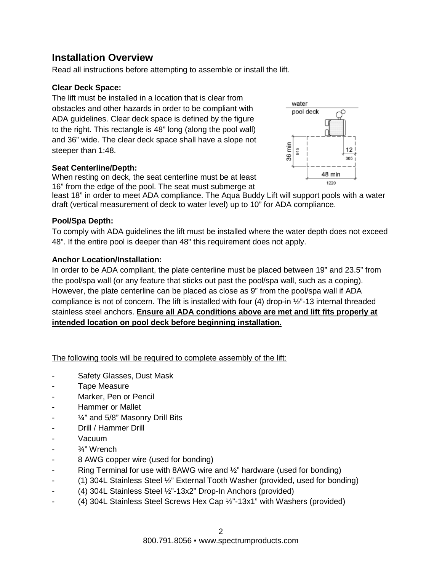# **Installation Overview**

Read all instructions before attempting to assemble or install the lift.

#### **Clear Deck Space:**

The lift must be installed in a location that is clear from obstacles and other hazards in order to be compliant with ADA guidelines. Clear deck space is defined by the figure to the right. This rectangle is 48" long (along the pool wall) and 36" wide. The clear deck space shall have a slope not steeper than 1:48.



#### **Seat Centerline/Depth:**

When resting on deck, the seat centerline must be at least 16" from the edge of the pool. The seat must submerge at

least 18" in order to meet ADA compliance. The Aqua Buddy Lift will support pools with a water draft (vertical measurement of deck to water level) up to 10" for ADA compliance.

#### **Pool/Spa Depth:**

To comply with ADA guidelines the lift must be installed where the water depth does not exceed 48". If the entire pool is deeper than 48" this requirement does not apply.

#### **Anchor Location/Installation:**

In order to be ADA compliant, the plate centerline must be placed between 19" and 23.5" from the pool/spa wall (or any feature that sticks out past the pool/spa wall, such as a coping). However, the plate centerline can be placed as close as 9" from the pool/spa wall if ADA compliance is not of concern. The lift is installed with four (4) drop-in ½"-13 internal threaded stainless steel anchors. **Ensure all ADA conditions above are met and lift fits properly at intended location on pool deck before beginning installation.**

The following tools will be required to complete assembly of the lift:

- Safety Glasses, Dust Mask
- Tape Measure
- Marker, Pen or Pencil
- Hammer or Mallet
- $\frac{1}{4}$ " and 5/8" Masonry Drill Bits
- Drill / Hammer Drill
- Vacuum
- 3⁄4" Wrench
- 8 AWG copper wire (used for bonding)
- Ring Terminal for use with 8AWG wire and  $\frac{1}{2}$ " hardware (used for bonding)
- (1) 304L Stainless Steel ½" External Tooth Washer (provided, used for bonding)
- (4) 304L Stainless Steel ½"-13x2" Drop-In Anchors (provided)
- (4) 304L Stainless Steel Screws Hex Cap ½"-13x1" with Washers (provided)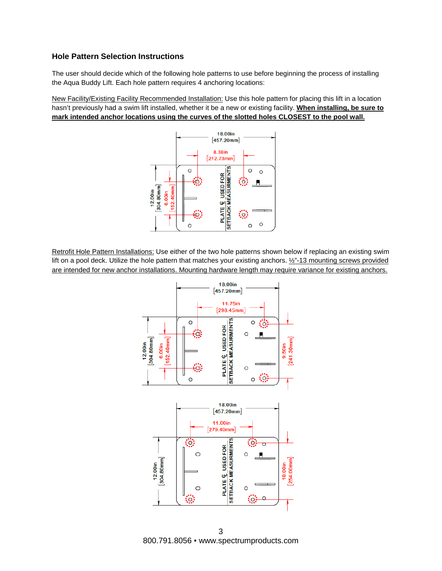#### **Hole Pattern Selection Instructions**

The user should decide which of the following hole patterns to use before beginning the process of installing the Aqua Buddy Lift. Each hole pattern requires 4 anchoring locations:

New Facility/Existing Facility Recommended Installation: Use this hole pattern for placing this lift in a location hasn't previously had a swim lift installed, whether it be a new or existing facility. **When installing, be sure to mark intended anchor locations using the curves of the slotted holes CLOSEST to the pool wall.**



Retrofit Hole Pattern Installations: Use either of the two hole patterns shown below if replacing an existing swim lift on a pool deck. Utilize the hole pattern that matches your existing anchors.  $\frac{1}{2}$ -13 mounting screws provided are intended for new anchor installations. Mounting hardware length may require variance for existing anchors.



3 800.791.8056 ▪ www.spectrumproducts.com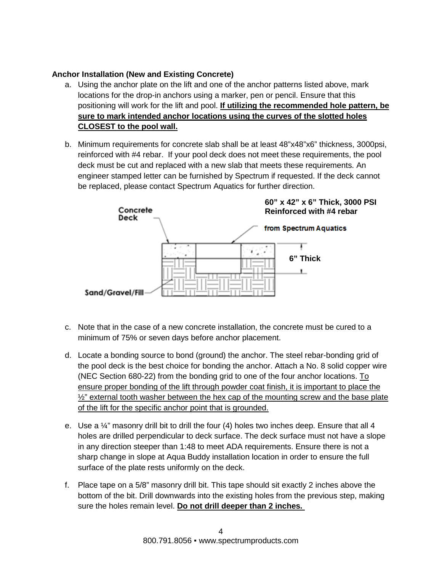#### **Anchor Installation (New and Existing Concrete)**

- a. Using the anchor plate on the lift and one of the anchor patterns listed above, mark locations for the drop-in anchors using a marker, pen or pencil. Ensure that this positioning will work for the lift and pool. **If utilizing the recommended hole pattern, be sure to mark intended anchor locations using the curves of the slotted holes CLOSEST to the pool wall.**
- b. Minimum requirements for concrete slab shall be at least 48"x48"x6" thickness, 3000psi, reinforced with #4 rebar. If your pool deck does not meet these requirements, the pool deck must be cut and replaced with a new slab that meets these requirements. An engineer stamped letter can be furnished by Spectrum if requested. If the deck cannot be replaced, please contact Spectrum Aquatics for further direction.



- c. Note that in the case of a new concrete installation, the concrete must be cured to a minimum of 75% or seven days before anchor placement.
- d. Locate a bonding source to bond (ground) the anchor. The steel rebar-bonding grid of the pool deck is the best choice for bonding the anchor. Attach a No. 8 solid copper wire (NEC Section 680-22) from the bonding grid to one of the four anchor locations. To ensure proper bonding of the lift through powder coat finish, it is important to place the  $\frac{1}{2}$ " external tooth washer between the hex cap of the mounting screw and the base plate of the lift for the specific anchor point that is grounded.
- e. Use a  $\frac{1}{4}$ " masonry drill bit to drill the four (4) holes two inches deep. Ensure that all 4 holes are drilled perpendicular to deck surface. The deck surface must not have a slope in any direction steeper than 1:48 to meet ADA requirements. Ensure there is not a sharp change in slope at Aqua Buddy installation location in order to ensure the full surface of the plate rests uniformly on the deck.
- f. Place tape on a 5/8" masonry drill bit. This tape should sit exactly 2 inches above the bottom of the bit. Drill downwards into the existing holes from the previous step, making sure the holes remain level. **Do not drill deeper than 2 inches.**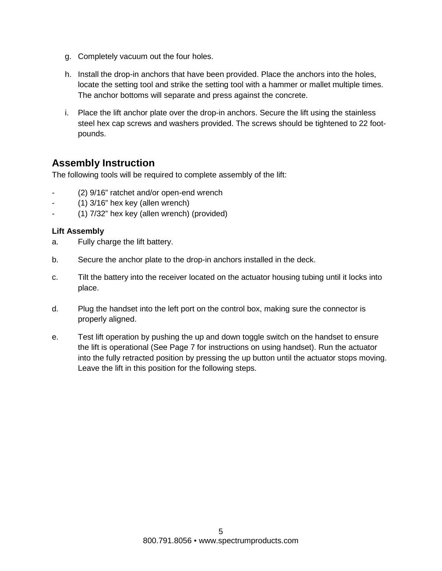- g. Completely vacuum out the four holes.
- h. Install the drop-in anchors that have been provided. Place the anchors into the holes, locate the setting tool and strike the setting tool with a hammer or mallet multiple times. The anchor bottoms will separate and press against the concrete.
- i. Place the lift anchor plate over the drop-in anchors. Secure the lift using the stainless steel hex cap screws and washers provided. The screws should be tightened to 22 footpounds.

# **Assembly Instruction**

The following tools will be required to complete assembly of the lift:

- (2)  $9/16$ " ratchet and/or open-end wrench
- $(1)$  3/16" hex key (allen wrench)
- (1) 7/32" hex key (allen wrench) (provided)

#### **Lift Assembly**

- a. Fully charge the lift battery.
- b. Secure the anchor plate to the drop-in anchors installed in the deck.
- c. Tilt the battery into the receiver located on the actuator housing tubing until it locks into place.
- d. Plug the handset into the left port on the control box, making sure the connector is properly aligned.
- e. Test lift operation by pushing the up and down toggle switch on the handset to ensure the lift is operational (See Page 7 for instructions on using handset). Run the actuator into the fully retracted position by pressing the up button until the actuator stops moving. Leave the lift in this position for the following steps.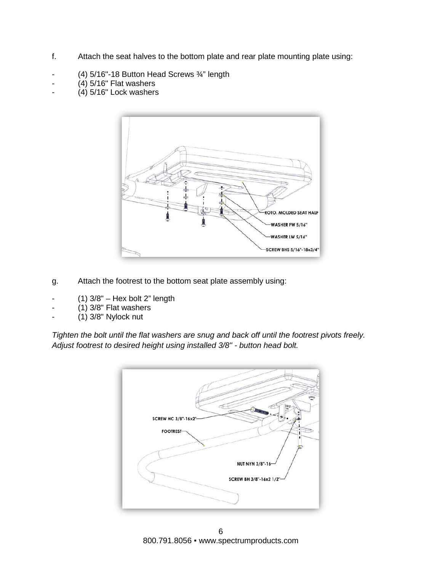- f. Attach the seat halves to the bottom plate and rear plate mounting plate using:
- (4) 5/16"-18 Button Head Screws ¾" length
- $(4)$  5/16" Flat washers
- $(4)$  5/16" Lock washers



- g. Attach the footrest to the bottom seat plate assembly using:
- $(1)$  3/8" Hex bolt 2" length
- $(1)$  3/8" Flat washers
- (1) 3/8" Nylock nut

*Tighten the bolt until the flat washers are snug and back off until the footrest pivots freely. Adjust footrest to desired height using installed 3/8" - button head bolt.*



6 800.791.8056 · www.spectrumproducts.com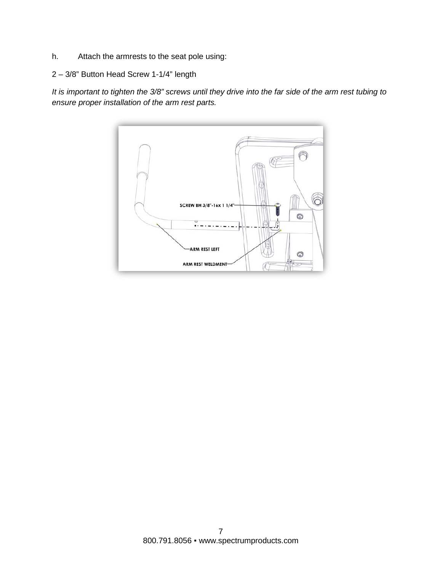- h. Attach the armrests to the seat pole using:
- 2 3/8" Button Head Screw 1-1/4" length

*It is important to tighten the 3/8" screws until they drive into the far side of the arm rest tubing to ensure proper installation of the arm rest parts.* 

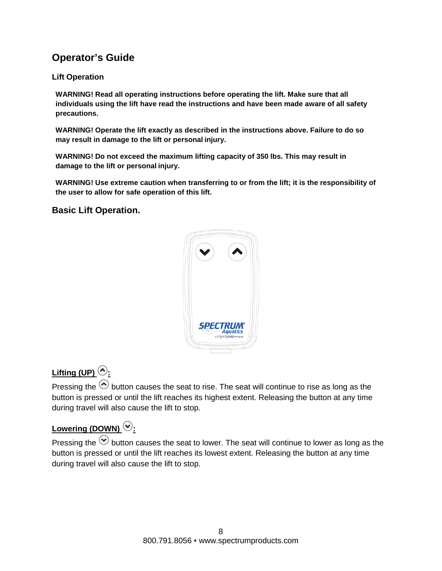# **Operator's Guide**

#### **Lift Operation**

**WARNING! Read all operating instructions before operating the lift. Make sure that all individuals using the lift have read the instructions and have been made aware of all safety precautions.**

**WARNING! Operate the lift exactly as described in the instructions above. Failure to do so may result in damage to the lift or personal injury.**

**WARNING! Do not exceed the maximum lifting capacity of 350 lbs. This may result in damage to the lift or personal injury.**

**WARNING! Use extreme caution when transferring to or from the lift; it is the responsibility of the user to allow for safe operation of this lift.**

#### **Basic Lift Operation.**



# Lifting (UP)  $\odot$ :

Pressing the  $\odot$  button causes the seat to rise. The seat will continue to rise as long as the button is pressed or until the lift reaches its highest extent. Releasing the button at any time during travel will also cause the lift to stop.

# Lowering (DOWN)<sup>(2)</sup>:

Pressing the  $\odot$  button causes the seat to lower. The seat will continue to lower as long as the button is pressed or until the lift reaches its lowest extent. Releasing the button at any time during travel will also cause the lift to stop.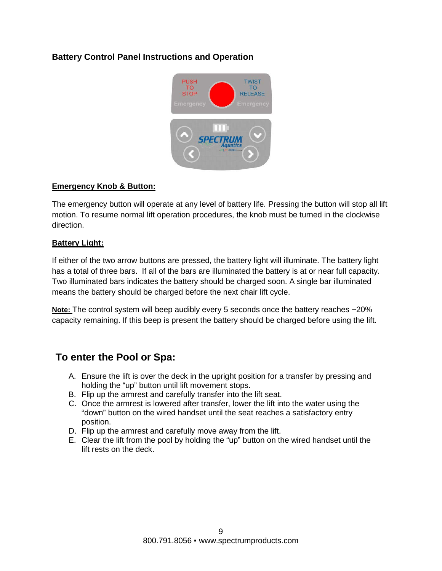#### **Battery Control Panel Instructions and Operation**



#### **Emergency Knob & Button:**

The emergency button will operate at any level of battery life. Pressing the button will stop all lift motion. To resume normal lift operation procedures, the knob must be turned in the clockwise direction.

#### **Battery Light:**

If either of the two arrow buttons are pressed, the battery light will illuminate. The battery light has a total of three bars. If all of the bars are illuminated the battery is at or near full capacity. Two illuminated bars indicates the battery should be charged soon. A single bar illuminated means the battery should be charged before the next chair lift cycle.

**Note:** The control system will beep audibly every 5 seconds once the battery reaches ~20% capacity remaining. If this beep is present the battery should be charged before using the lift.

### **To enter the Pool or Spa:**

- A. Ensure the lift is over the deck in the upright position for a transfer by pressing and holding the "up" button until lift movement stops.
- B. Flip up the armrest and carefully transfer into the lift seat.
- C. Once the armrest is lowered after transfer, lower the lift into the water using the "down" button on the wired handset until the seat reaches a satisfactory entry position.
- D. Flip up the armrest and carefully move away from the lift.
- E. Clear the lift from the pool by holding the "up" button on the wired handset until the lift rests on the deck.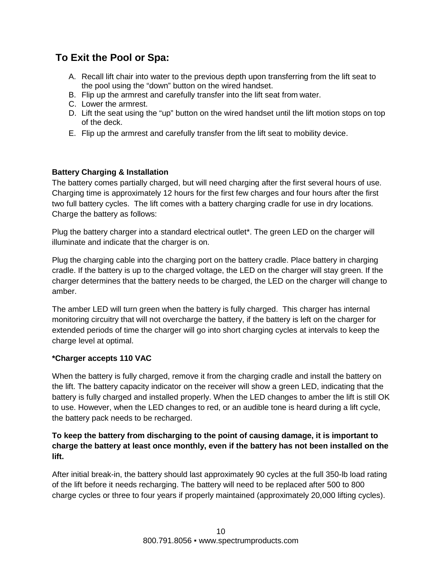# **To Exit the Pool or Spa:**

- A. Recall lift chair into water to the previous depth upon transferring from the lift seat to the pool using the "down" button on the wired handset.
- B. Flip up the armrest and carefully transfer into the lift seat from water.
- C. Lower the armrest.
- D. Lift the seat using the "up" button on the wired handset until the lift motion stops on top of the deck.
- E. Flip up the armrest and carefully transfer from the lift seat to mobility device.

#### **Battery Charging & Installation**

The battery comes partially charged, but will need charging after the first several hours of use. Charging time is approximately 12 hours for the first few charges and four hours after the first two full battery cycles. The lift comes with a battery charging cradle for use in dry locations. Charge the battery as follows:

Plug the battery charger into a standard electrical outlet\*. The green LED on the charger will illuminate and indicate that the charger is on.

Plug the charging cable into the charging port on the battery cradle. Place battery in charging cradle. If the battery is up to the charged voltage, the LED on the charger will stay green. If the charger determines that the battery needs to be charged, the LED on the charger will change to amber.

The amber LED will turn green when the battery is fully charged. This charger has internal monitoring circuitry that will not overcharge the battery, if the battery is left on the charger for extended periods of time the charger will go into short charging cycles at intervals to keep the charge level at optimal.

#### **\*Charger accepts 110 VAC**

When the battery is fully charged, remove it from the charging cradle and install the battery on the lift. The battery capacity indicator on the receiver will show a green LED, indicating that the battery is fully charged and installed properly. When the LED changes to amber the lift is still OK to use. However, when the LED changes to red, or an audible tone is heard during a lift cycle, the battery pack needs to be recharged.

#### **To keep the battery from discharging to the point of causing damage, it is important to charge the battery at least once monthly, even if the battery has not been installed on the lift.**

After initial break-in, the battery should last approximately 90 cycles at the full 350-lb load rating of the lift before it needs recharging. The battery will need to be replaced after 500 to 800 charge cycles or three to four years if properly maintained (approximately 20,000 lifting cycles).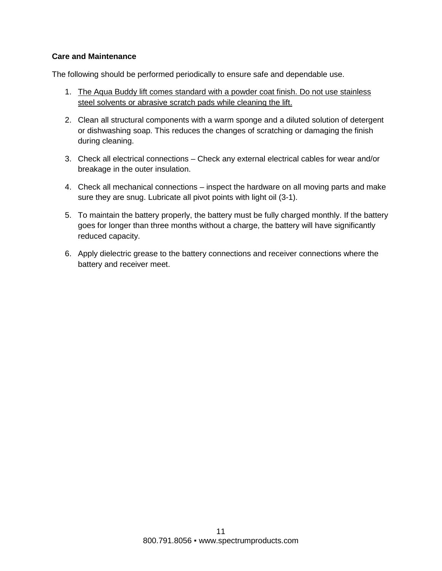#### **Care and Maintenance**

The following should be performed periodically to ensure safe and dependable use.

- 1. The Aqua Buddy lift comes standard with a powder coat finish. Do not use stainless steel solvents or abrasive scratch pads while cleaning the lift.
- 2. Clean all structural components with a warm sponge and a diluted solution of detergent or dishwashing soap. This reduces the changes of scratching or damaging the finish during cleaning.
- 3. Check all electrical connections Check any external electrical cables for wear and/or breakage in the outer insulation.
- 4. Check all mechanical connections inspect the hardware on all moving parts and make sure they are snug. Lubricate all pivot points with light oil (3-1).
- 5. To maintain the battery properly, the battery must be fully charged monthly. If the battery goes for longer than three months without a charge, the battery will have significantly reduced capacity.
- 6. Apply dielectric grease to the battery connections and receiver connections where the battery and receiver meet.